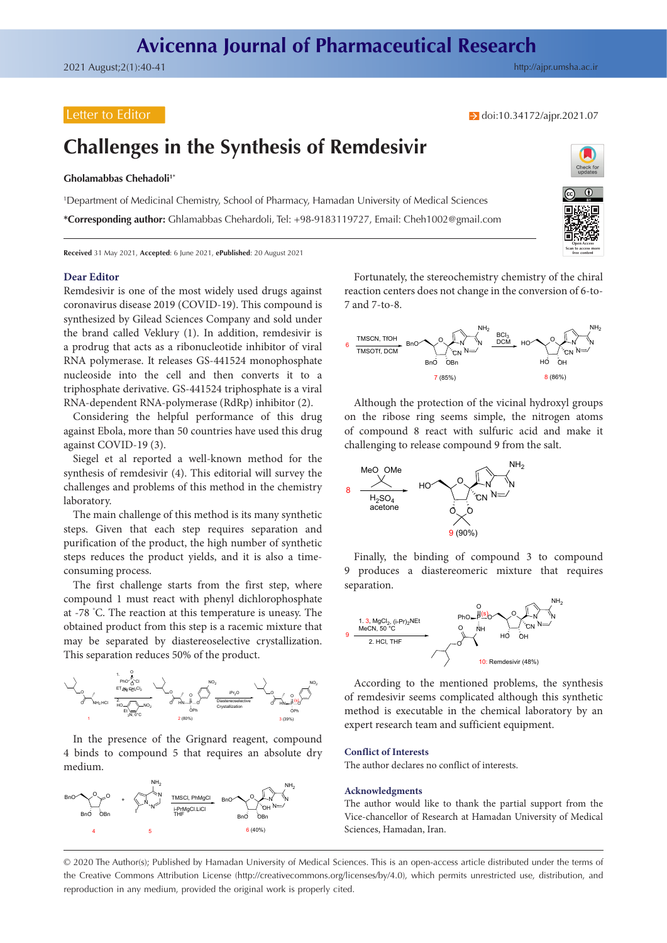## Letter to Editor

### $\rightarrow$  doi[:10.34172/ajpr.2021.07](https://doi.org/10.34172/ajpr.2021.07)

# **Challenges in the Synthesis of Remdesivir**

### **Gholamabbas Chehadoli1\***

1 Department of Medicinal Chemistry, School of Pharmacy, Hamadan University of Medical Sciences

**\*Corresponding author:** Ghlamabbas Chehardoli, Tel: +98-9183119727, Email: Cheh1002@gmail.com



**Received** 31 May 2021, **Accepted**: 6 June 2021, **ePublished**: 20 August 2021

### **Dear Editor**

Remdesivir is one of the most widely used drugs against coronavirus disease 2019 (COVID-19). This compound is synthesized by Gilead Sciences Company and sold under the brand called Veklury (1). In addition, remdesivir is a prodrug that acts as a ribonucleotide inhibitor of viral RNA polymerase. It releases GS-441524 monophosphate nucleoside into the cell and then converts it to a triphosphate derivative. GS-441524 triphosphate is a viral RNA-dependent RNA-polymerase (RdRp) inhibitor (2).

Considering the helpful performance of this drug against Ebola, more than 50 countries have used this drug against COVID-19 (3).

Siegel et al reported a well-known method for the synthesis of remdesivir (4). This editorial will survey the challenges and problems of this method in the chemistry laboratory.

The main challenge of this method is its many synthetic steps. Given that each step requires separation and purification of the product, the high number of synthetic steps reduces the product yields, and it is also a timeconsuming process.

The first challenge starts from the first step, where compound 1 must react with phenyl dichlorophosphate at -78 ° C. The reaction at this temperature is uneasy. The obtained product from this step is a racemic mixture that may be separated by diastereoselective crystallization. This separation reduces 50% of the product.



In the presence of the Grignard reagent, compound 4 binds to compound 5 that requires an absolute dry medium.



Fortunately, the stereochemistry chemistry of the chiral reaction centers does not change in the conversion of 6-to-7 and 7-to-8.



Although the protection of the vicinal hydroxyl groups on the ribose ring seems simple, the nitrogen atoms of compound 8 react with sulfuric acid and make it challenging to release compound 9 from the salt.



Finally, the binding of compound 3 to compound 9 produces a diastereomeric mixture that requires separation.



According to the mentioned problems, the synthesis of remdesivir seems complicated although this synthetic method is executable in the chemical laboratory by an expert research team and sufficient equipment.

#### **Conflict of Interests**

The author declares no conflict of interests.

#### **Acknowledgments**

The author would like to thank the partial support from the Vice-chancellor of Research at Hamadan University of Medical Sciences, Hamadan, Iran.

© 2020 The Author(s); Published by Hamadan University of Medical Sciences. This is an open-access article distributed under the terms of the Creative Commons Attribution License [\(http://creativecommons.org/licenses/by/4.0](http://creativecommons.org/licenses/by/4.0)), which permits unrestricted use, distribution, and reproduction in any medium, provided the original work is properly cited.